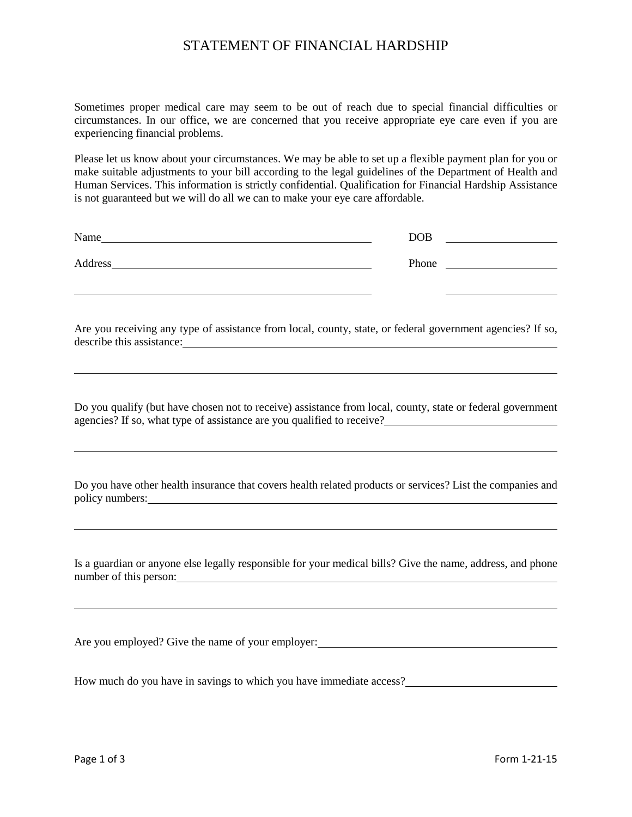## STATEMENT OF FINANCIAL HARDSHIP

Sometimes proper medical care may seem to be out of reach due to special financial difficulties or circumstances. In our office, we are concerned that you receive appropriate eye care even if you are experiencing financial problems.

Please let us know about your circumstances. We may be able to set up a flexible payment plan for you or make suitable adjustments to your bill according to the legal guidelines of the Department of Health and Human Services. This information is strictly confidential. Qualification for Financial Hardship Assistance is not guaranteed but we will do all we can to make your eye care affordable.

| Name    | <b>DOB</b> |  |
|---------|------------|--|
| Address | Phone      |  |

Are you receiving any type of assistance from local, county, state, or federal government agencies? If so, describe this assistance:

Do you qualify (but have chosen not to receive) assistance from local, county, state or federal government agencies? If so, what type of assistance are you qualified to receive?

Do you have other health insurance that covers health related products or services? List the companies and policy numbers: <u>example and the set of the set of the set of the set of the set of the set of the set of the set of the set of the set of the set of the set of the set of the set of the set of the set of the set of the se</u>

Is a guardian or anyone else legally responsible for your medical bills? Give the name, address, and phone number of this person:

Are you employed? Give the name of your employer:<br>
<u>examples</u>

How much do you have in savings to which you have immediate access?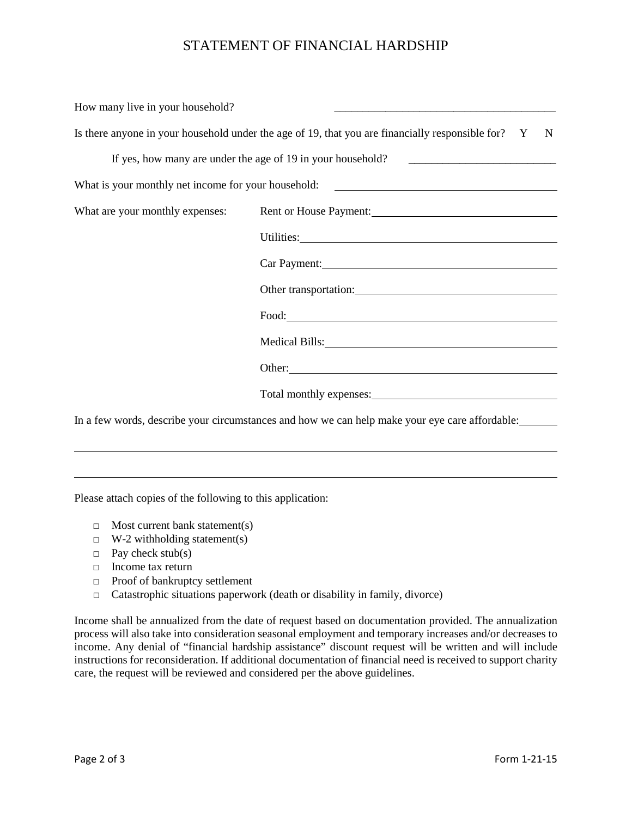## STATEMENT OF FINANCIAL HARDSHIP

| How many live in your household? | <u> 1980 - Johann John Stone, market fan it ferstjer fan it ferstjer fan it ferstjer fan it ferstjer fan it fers</u>                                                                                                           |
|----------------------------------|--------------------------------------------------------------------------------------------------------------------------------------------------------------------------------------------------------------------------------|
|                                  | Is there anyone in your household under the age of 19, that you are financially responsible for? Y<br>N                                                                                                                        |
|                                  | If yes, how many are under the age of 19 in your household?                                                                                                                                                                    |
|                                  | What is your monthly net income for your household: _____________________________                                                                                                                                              |
|                                  | What are your monthly expenses: Rent or House Payment: 1997 1998                                                                                                                                                               |
|                                  | Utilities: Note and the contract of the contract of the contract of the contract of the contract of the contract of the contract of the contract of the contract of the contract of the contract of the contract of the contra |
|                                  | Car Payment: 1997 - 1997 - 1998 - 1999 - 1999 - 1999 - 1999 - 1999 - 1999 - 1999 - 1999 - 1999 - 1999 - 1999 -                                                                                                                 |
|                                  |                                                                                                                                                                                                                                |
|                                  | Food: Food:                                                                                                                                                                                                                    |
|                                  | Medical Bills: New York and Society and Society and Society and Society and Society and Society and Society and Society and Society and Society and Society and Society and Society and Society and Society and Society and So |
|                                  |                                                                                                                                                                                                                                |
|                                  |                                                                                                                                                                                                                                |
|                                  | In a few words, describe your circumstances and how we can help make your eye care affordable:                                                                                                                                 |

Please attach copies of the following to this application:

- $\Box$  Most current bank statement(s)
- $\Box$  W-2 withholding statement(s)
- $\Box$  Pay check stub(s)
- □ Income tax return
- □ Proof of bankruptcy settlement
- $\Box$  Catastrophic situations paperwork (death or disability in family, divorce)

Income shall be annualized from the date of request based on documentation provided. The annualization process will also take into consideration seasonal employment and temporary increases and/or decreases to income. Any denial of "financial hardship assistance" discount request will be written and will include instructions for reconsideration. If additional documentation of financial need is received to support charity care, the request will be reviewed and considered per the above guidelines.